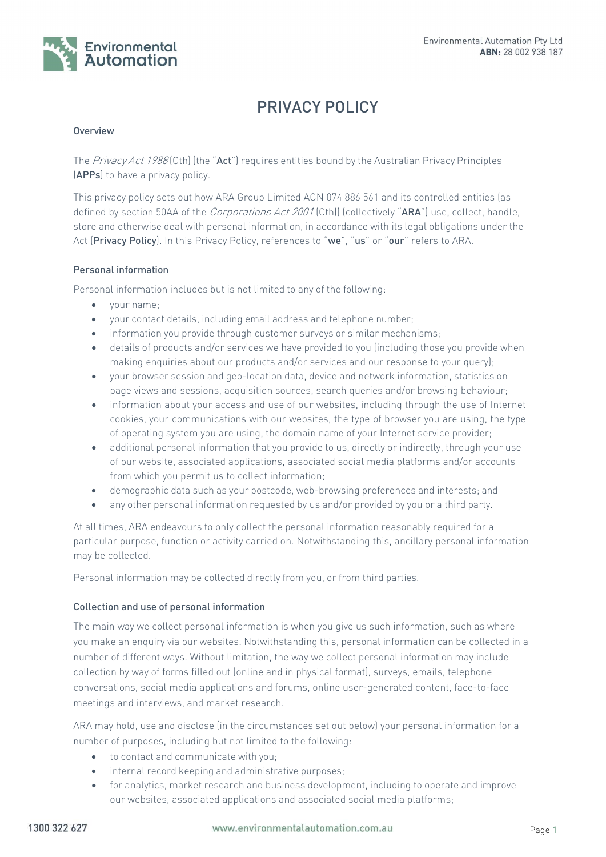

# PRIVACY POLICY

## Overview

The  $Privacy Act 1988$  (Cth) (the "Act") requires entities bound by the Australian Privacy Principles (APPs) to have a privacy policy.

This privacy policy sets out how ARA Group Limited ACN 074 886 561 and its controlled entities (as defined by section 50AA of the *Corporations Act 2001* (Cth)) (collectively "ARA") use, collect, handle, store and otherwise deal with personal information, in accordance with its legal obligations under the Act (Privacy Policy). In this Privacy Policy, references to "we", "us" or "our" refers to ARA.

## Personal information

Personal information includes but is not limited to any of the following:

- your name;
- your contact details, including email address and telephone number;
- information you provide through customer surveys or similar mechanisms;
- details of products and/or services we have provided to you (including those you provide when making enquiries about our products and/or services and our response to your query);
- your browser session and geo-location data, device and network information, statistics on page views and sessions, acquisition sources, search queries and/or browsing behaviour;
- information about your access and use of our websites, including through the use of Internet cookies, your communications with our websites, the type of browser you are using, the type of operating system you are using, the domain name of your Internet service provider;
- additional personal information that you provide to us, directly or indirectly, through your use of our website, associated applications, associated social media platforms and/or accounts from which you permit us to collect information;
- demographic data such as your postcode, web-browsing preferences and interests; and
- any other personal information requested by us and/or provided by you or a third party.

At all times, ARA endeavours to only collect the personal information reasonably required for a particular purpose, function or activity carried on. Notwithstanding this, ancillary personal information may be collected.

Personal information may be collected directly from you, or from third parties.

## Collection and use of personal information

The main way we collect personal information is when you give us such information, such as where you make an enquiry via our websites. Notwithstanding this, personal information can be collected in a number of different ways. Without limitation, the way we collect personal information may include collection by way of forms filled out (online and in physical format), surveys, emails, telephone conversations, social media applications and forums, online user-generated content, face-to-face meetings and interviews, and market research.

ARA may hold, use and disclose (in the circumstances set out below) your personal information for a number of purposes, including but not limited to the following:

- $\bullet$  to contact and communicate with you;
- internal record keeping and administrative purposes;
- for analytics, market research and business development, including to operate and improve our websites, associated applications and associated social media platforms;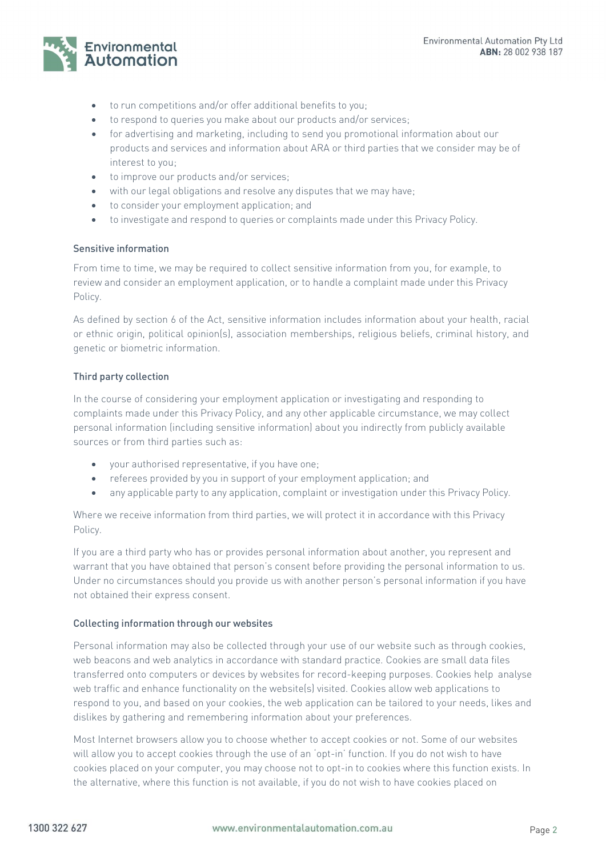

- to run competitions and/or offer additional benefits to you;
- to respond to queries you make about our products and/or services;
- for advertising and marketing, including to send you promotional information about our products and services and information about ARA or third parties that we consider may be of interest to you;
- to improve our products and/or services;
- with our legal obligations and resolve any disputes that we may have;
- to consider your employment application; and
- to investigate and respond to queries or complaints made under this Privacy Policy.

# Sensitive information

From time to time, we may be required to collect sensitive information from you, for example, to review and consider an employment application, or to handle a complaint made under this Privacy Policy.

As defined by section 6 of the Act, sensitive information includes information about your health, racial or ethnic origin, political opinion(s), association memberships, religious beliefs, criminal history, and genetic or biometric information.

# Third party collection

In the course of considering your employment application or investigating and responding to complaints made under this Privacy Policy, and any other applicable circumstance, we may collect personal information (including sensitive information) about you indirectly from publicly available sources or from third parties such as:

- your authorised representative, if you have one;
- referees provided by you in support of your employment application; and
- any applicable party to any application, complaint or investigation under this Privacy Policy.

Where we receive information from third parties, we will protect it in accordance with this Privacy Policy.

If you are a third party who has or provides personal information about another, you represent and warrant that you have obtained that person's consent before providing the personal information to us. Under no circumstances should you provide us with another person's personal information if you have not obtained their express consent.

# Collecting information through our websites

Personal information may also be collected through your use of our website such as through cookies, web beacons and web analytics in accordance with standard practice. Cookies are small data files transferred onto computers or devices by websites for record-keeping purposes. Cookies help analyse web traffic and enhance functionality on the website(s) visited. Cookies allow web applications to respond to you, and based on your cookies, the web application can be tailored to your needs, likes and dislikes by gathering and remembering information about your preferences.

Most Internet browsers allow you to choose whether to accept cookies or not. Some of our websites will allow you to accept cookies through the use of an 'opt-in' function. If you do not wish to have cookies placed on your computer, you may choose not to opt-in to cookies where this function exists. In the alternative, where this function is not available, if you do not wish to have cookies placed on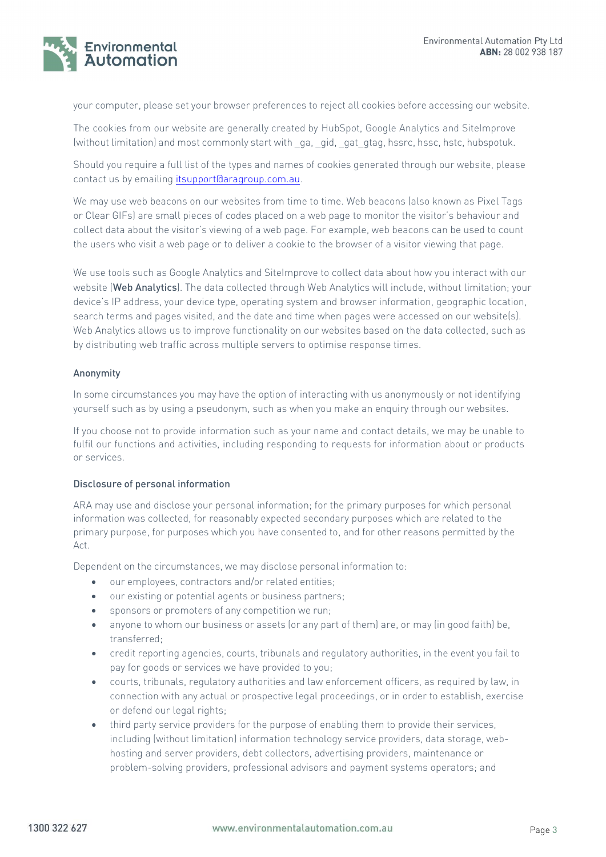

your computer, please set your browser preferences to reject all cookies before accessing our website.

The cookies from our website are generally created by HubSpot, Google Analytics and SiteImprove (without limitation) and most commonly start with \_ga, \_gid, \_gat\_gtag, hssrc, hssc, hstc, hubspotuk.

Should you require a full list of the types and names of cookies generated through our website, please contact us by emailing itsupport@aragroup.com.au.

We may use web beacons on our websites from time to time. Web beacons (also known as Pixel Tags or Clear GIFs) are small pieces of codes placed on a web page to monitor the visitor's behaviour and collect data about the visitor's viewing of a web page. For example, web beacons can be used to count the users who visit a web page or to deliver a cookie to the browser of a visitor viewing that page.

We use tools such as Google Analytics and SiteImprove to collect data about how you interact with our website (Web Analytics). The data collected through Web Analytics will include, without limitation; your device's IP address, your device type, operating system and browser information, geographic location, search terms and pages visited, and the date and time when pages were accessed on our website(s). Web Analytics allows us to improve functionality on our websites based on the data collected, such as by distributing web traffic across multiple servers to optimise response times.

## Anonymity

In some circumstances you may have the option of interacting with us anonymously or not identifying yourself such as by using a pseudonym, such as when you make an enquiry through our websites.

If you choose not to provide information such as your name and contact details, we may be unable to fulfil our functions and activities, including responding to requests for information about or products or services.

## Disclosure of personal information

ARA may use and disclose your personal information; for the primary purposes for which personal information was collected, for reasonably expected secondary purposes which are related to the primary purpose, for purposes which you have consented to, and for other reasons permitted by the Act.

Dependent on the circumstances, we may disclose personal information to:

- our employees, contractors and/or related entities;
- our existing or potential agents or business partners;
- sponsors or promoters of any competition we run;
- anyone to whom our business or assets (or any part of them) are, or may (in good faith) be, transferred;
- credit reporting agencies, courts, tribunals and regulatory authorities, in the event you fail to pay for goods or services we have provided to you;
- courts, tribunals, regulatory authorities and law enforcement officers, as required by law, in connection with any actual or prospective legal proceedings, or in order to establish, exercise or defend our legal rights;
- third party service providers for the purpose of enabling them to provide their services, including (without limitation) information technology service providers, data storage, webhosting and server providers, debt collectors, advertising providers, maintenance or problem-solving providers, professional advisors and payment systems operators; and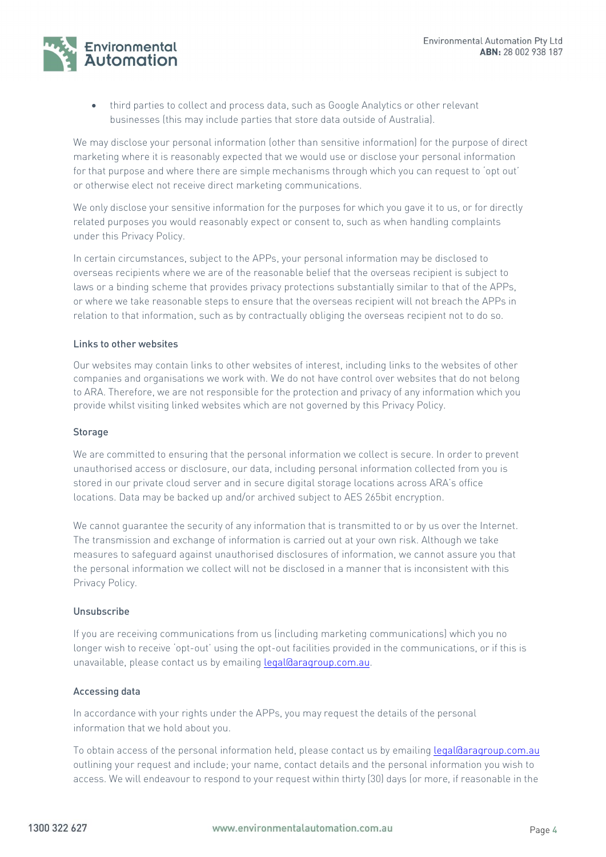Environmental **Automation** 

> third parties to collect and process data, such as Google Analytics or other relevant businesses (this may include parties that store data outside of Australia).

We may disclose your personal information (other than sensitive information) for the purpose of direct marketing where it is reasonably expected that we would use or disclose your personal information for that purpose and where there are simple mechanisms through which you can request to 'opt out' or otherwise elect not receive direct marketing communications.

We only disclose your sensitive information for the purposes for which you gave it to us, or for directly related purposes you would reasonably expect or consent to, such as when handling complaints under this Privacy Policy.

In certain circumstances, subject to the APPs, your personal information may be disclosed to overseas recipients where we are of the reasonable belief that the overseas recipient is subject to laws or a binding scheme that provides privacy protections substantially similar to that of the APPs, or where we take reasonable steps to ensure that the overseas recipient will not breach the APPs in relation to that information, such as by contractually obliging the overseas recipient not to do so.

## Links to other websites

Our websites may contain links to other websites of interest, including links to the websites of other companies and organisations we work with. We do not have control over websites that do not belong to ARA. Therefore, we are not responsible for the protection and privacy of any information which you provide whilst visiting linked websites which are not governed by this Privacy Policy.

#### **Storage**

We are committed to ensuring that the personal information we collect is secure. In order to prevent unauthorised access or disclosure, our data, including personal information collected from you is stored in our private cloud server and in secure digital storage locations across ARA's office locations. Data may be backed up and/or archived subject to AES 265bit encryption.

We cannot guarantee the security of any information that is transmitted to or by us over the Internet. The transmission and exchange of information is carried out at your own risk. Although we take measures to safeguard against unauthorised disclosures of information, we cannot assure you that the personal information we collect will not be disclosed in a manner that is inconsistent with this Privacy Policy.

#### Unsubscribe

If you are receiving communications from us (including marketing communications) which you no longer wish to receive 'opt-out' using the opt-out facilities provided in the communications, or if this is unavailable, please contact us by emailing legal@aragroup.com.au.

## Accessing data

In accordance with your rights under the APPs, you may request the details of the personal information that we hold about you.

To obtain access of the personal information held, please contact us by emailing legal@aragroup.com.au outlining your request and include; your name, contact details and the personal information you wish to access. We will endeavour to respond to your request within thirty (30) days (or more, if reasonable in the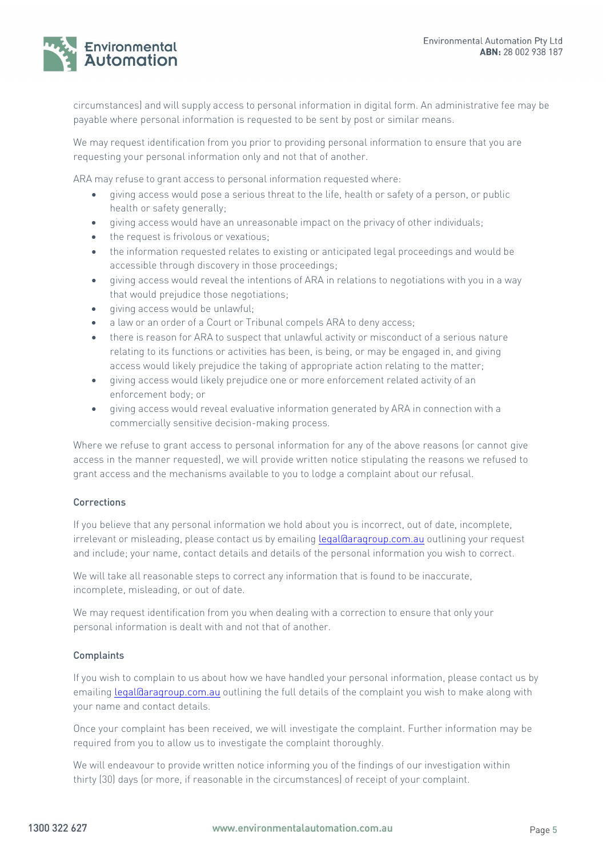

circumstances) and will supply access to personal information in digital form. An administrative fee may be payable where personal information is requested to be sent by post or similar means.

We may request identification from you prior to providing personal information to ensure that you are requesting your personal information only and not that of another.

ARA may refuse to grant access to personal information requested where:

- giving access would pose a serious threat to the life, health or safety of a person, or public health or safety generally;
- giving access would have an unreasonable impact on the privacy of other individuals;
- the request is frivolous or vexatious;
- the information requested relates to existing or anticipated legal proceedings and would be accessible through discovery in those proceedings;
- giving access would reveal the intentions of ARA in relations to negotiations with you in a way that would prejudice those negotiations;
- giving access would be unlawful;
- a law or an order of a Court or Tribunal compels ARA to deny access;
- there is reason for ARA to suspect that unlawful activity or misconduct of a serious nature relating to its functions or activities has been, is being, or may be engaged in, and giving access would likely prejudice the taking of appropriate action relating to the matter;
- giving access would likely prejudice one or more enforcement related activity of an enforcement body; or
- giving access would reveal evaluative information generated by ARA in connection with a commercially sensitive decision-making process.

Where we refuse to grant access to personal information for any of the above reasons (or cannot give access in the manner requested), we will provide written notice stipulating the reasons we refused to grant access and the mechanisms available to you to lodge a complaint about our refusal.

#### **Corrections**

If you believe that any personal information we hold about you is incorrect, out of date, incomplete, irrelevant or misleading, please contact us by emailing legal@aragroup.com.au outlining your request and include; your name, contact details and details of the personal information you wish to correct.

We will take all reasonable steps to correct any information that is found to be inaccurate, incomplete, misleading, or out of date.

We may request identification from you when dealing with a correction to ensure that only your personal information is dealt with and not that of another.

#### **Complaints**

If you wish to complain to us about how we have handled your personal information, please contact us by emailing legal@aragroup.com.au outlining the full details of the complaint you wish to make along with your name and contact details.

Once your complaint has been received, we will investigate the complaint. Further information may be required from you to allow us to investigate the complaint thoroughly.

We will endeavour to provide written notice informing you of the findings of our investigation within thirty (30) days (or more, if reasonable in the circumstances) of receipt of your complaint.